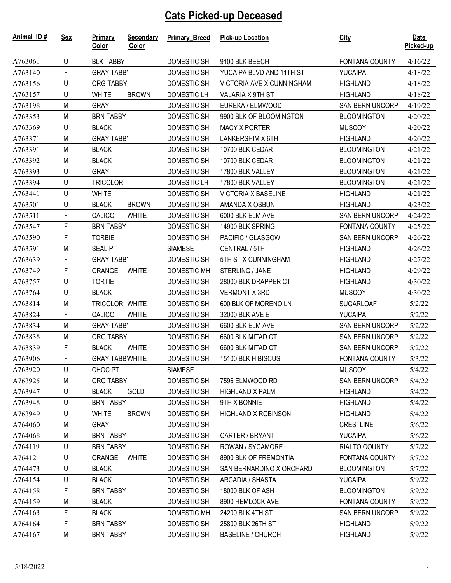## **Cats Picked-up Deceased**

| A763061<br>U<br><b>BLK TABBY</b><br>DOMESTIC SH<br>9100 BLK BEECH<br>4/16/22<br><b>FONTANA COUNTY</b><br>F<br><b>YUCAIPA</b><br>4/18/22<br>A763140<br><b>GRAY TABB'</b><br>DOMESTIC SH<br>YUCAIPA BLVD AND 11TH ST<br>U<br><b>DOMESTIC SH</b><br>VICTORIA AVE X CUNNINGHAM<br>ORG TABBY<br><b>HIGHLAND</b><br>4/18/22<br>A763156<br>U<br><b>WHITE</b><br><b>BROWN</b><br>DOMESTIC LH<br>VALARIA X 9TH ST<br><b>HIGHLAND</b><br>A763157<br>4/18/22<br>M<br><b>GRAY</b><br>DOMESTIC SH<br>EUREKA / ELMWOOD<br><b>SAN BERN UNCORP</b><br>A763198<br>4/19/22<br>M<br><b>BRN TABBY</b><br>DOMESTIC SH<br>9900 BLK OF BLOOMINGTON<br><b>BLOOMINGTON</b><br>4/20/22<br>A763353<br><b>DOMESTIC SH</b><br><b>MUSCOY</b><br>A763369<br>U<br><b>BLACK</b><br><b>MACY X PORTER</b><br>4/20/22<br>M<br><b>DOMESTIC SH</b><br>LANKERSHIM X 6TH<br>A763371<br><b>GRAY TABB</b><br><b>HIGHLAND</b><br>4/20/22<br>DOMESTIC SH<br>A763391<br>M<br><b>BLACK</b><br>10700 BLK CEDAR<br><b>BLOOMINGTON</b><br>4/21/22<br>M<br><b>BLACK</b><br>DOMESTIC SH<br><b>BLOOMINGTON</b><br>A763392<br>10700 BLK CEDAR<br>4/21/22<br><b>GRAY</b><br>DOMESTIC SH<br><b>BLOOMINGTON</b><br>A763393<br>U<br>17800 BLK VALLEY<br>4/21/22<br>U<br><b>TRICOLOR</b><br><b>DOMESTIC LH</b><br>17800 BLK VALLEY<br><b>BLOOMINGTON</b><br>A763394<br>4/21/22<br>DOMESTIC SH<br>U<br><b>WHITE</b><br><b>VICTORIA X BASELINE</b><br><b>HIGHLAND</b><br>A763441<br>4/21/22<br>U<br><b>BROWN</b><br>DOMESTIC SH<br><b>BLACK</b><br>AMANDA X OSBUN<br><b>HIGHLAND</b><br>A763501<br>4/23/22<br>F<br>A763511<br>CALICO<br>DOMESTIC SH<br>6000 BLK ELM AVE<br><b>SAN BERN UNCORP</b><br>4/24/22<br><b>WHITE</b><br>F<br>A763547<br>DOMESTIC SH<br><b>FONTANA COUNTY</b><br><b>BRN TABBY</b><br>14900 BLK SPRING<br>4/25/22<br>F<br>A763590<br><b>TORBIE</b><br><b>DOMESTIC SH</b><br>PACIFIC / GLASGOW<br>SAN BERN UNCORP<br>4/26/22<br>M<br><b>SIAMESE</b><br>A763591<br><b>SEAL PT</b><br>CENTRAL / 5TH<br><b>HIGHLAND</b><br>4/26/22<br>F<br>DOMESTIC SH<br>5TH ST X CUNNINGHAM<br>A763639<br><b>GRAY TABB'</b><br><b>HIGHLAND</b><br>4/27/22<br>F<br>ORANGE<br><b>WHITE</b><br><b>DOMESTIC MH</b><br>STERLING / JANE<br>A763749<br><b>HIGHLAND</b><br>4/29/22<br>U<br><b>TORTIE</b><br>DOMESTIC SH<br>28000 BLK DRAPPER CT<br>A763757<br><b>HIGHLAND</b><br>4/30/22<br>U<br><b>BLACK</b><br>DOMESTIC SH<br>A763764<br><b>VERMONT X 3RD</b><br><b>MUSCOY</b><br>4/30/22<br><b>DOMESTIC SH</b><br>A763814<br>M<br>TRICOLOR WHITE<br>600 BLK OF MORENO LN<br><b>SUGARLOAF</b><br>5/2/22<br>F<br>A763824<br>CALICO<br><b>DOMESTIC SH</b><br>32000 BLK AVE E<br><b>WHITE</b><br>YUCAIPA<br>5/2/22<br>M<br>DOMESTIC SH<br><b>SAN BERN UNCORP</b><br>A763834<br><b>GRAY TABB'</b><br>6600 BLK ELM AVE<br>5/2/22<br>M<br><b>DOMESTIC SH</b><br>A763838<br>ORG TABBY<br>6600 BLK MITAD CT<br><b>SAN BERN UNCORP</b><br>5/2/22<br>F<br><b>BLACK</b><br><b>WHITE</b><br>DOMESTIC SH<br>6600 BLK MITAD CT<br>SAN BERN UNCORP<br>A763839<br>5/2/22<br>F<br><b>DOMESTIC SH</b><br><b>GRAY TABBWHITE</b><br>15100 BLK HIBISCUS<br><b>FONTANA COUNTY</b><br>A763906<br>5/3/22<br>U<br>CHOC PT<br><b>SIAMESE</b><br><b>MUSCOY</b><br>5/4/22<br>A763920<br>A763925<br>M<br>ORG TABBY<br>DOMESTIC SH<br>7596 ELMWOOD RD<br><b>SAN BERN UNCORP</b><br>5/4/22<br>A763947<br>U<br><b>BLACK</b><br>GOLD<br>DOMESTIC SH<br><b>HIGHLAND X PALM</b><br><b>HIGHLAND</b><br>5/4/22<br>U<br>A763948<br><b>BRN TABBY</b><br>DOMESTIC SH<br>9TH X BONNIE<br><b>HIGHLAND</b><br>5/4/22<br>A763949<br>U<br><b>WHITE</b><br><b>BROWN</b><br>DOMESTIC SH<br><b>HIGHLAND X ROBINSON</b><br><b>HIGHLAND</b><br>5/4/22<br>M<br>A764060<br><b>GRAY</b><br>DOMESTIC SH<br><b>CRESTLINE</b><br>5/6/22<br><b>BRN TABBY</b><br>DOMESTIC SH<br><b>YUCAIPA</b><br>A764068<br>M<br>CARTER / BRYANT<br>5/6/22<br>U<br>DOMESTIC SH<br>A764119<br><b>BRN TABBY</b><br>ROWAN / SYCAMORE<br>RIALTO COUNTY<br>5/7/22<br>A764121<br>DOMESTIC SH<br>U<br><b>ORANGE</b><br><b>WHITE</b><br>8900 BLK OF FREMONTIA<br>FONTANA COUNTY<br>5/7/22<br>A764473<br>U<br><b>BLACK</b><br>DOMESTIC SH<br>SAN BERNARDINO X ORCHARD<br><b>BLOOMINGTON</b><br>5/7/22<br>A764154<br><b>BLACK</b><br><b>DOMESTIC SH</b><br>U<br>ARCADIA / SHASTA<br><b>YUCAIPA</b><br>5/9/22<br>F<br>A764158<br><b>BRN TABBY</b><br>DOMESTIC SH<br>18000 BLK OF ASH<br><b>BLOOMINGTON</b><br>5/9/22<br>A764159<br>M<br><b>BLACK</b><br>DOMESTIC SH<br>8900 HEMLOCK AVE<br>FONTANA COUNTY<br>5/9/22<br>F<br><b>BLACK</b><br>A764163<br><b>DOMESTIC MH</b><br>24200 BLK 4TH ST<br><b>SAN BERN UNCORP</b><br>5/9/22<br>F<br><b>BRN TABBY</b><br>A764164<br>DOMESTIC SH<br>25800 BLK 26TH ST<br><b>HIGHLAND</b><br>5/9/22<br>M<br>A764167<br><b>BRN TABBY</b><br>DOMESTIC SH<br><b>BASELINE / CHURCH</b><br><b>HIGHLAND</b><br>5/9/22 | Animal_ID# | <b>Sex</b> | <b>Primary</b><br>Color | <b>Secondary</b><br>Color | <b>Primary Breed</b> | <b>Pick-up Location</b> | <b>City</b> | Date<br>Picked-up |
|--------------------------------------------------------------------------------------------------------------------------------------------------------------------------------------------------------------------------------------------------------------------------------------------------------------------------------------------------------------------------------------------------------------------------------------------------------------------------------------------------------------------------------------------------------------------------------------------------------------------------------------------------------------------------------------------------------------------------------------------------------------------------------------------------------------------------------------------------------------------------------------------------------------------------------------------------------------------------------------------------------------------------------------------------------------------------------------------------------------------------------------------------------------------------------------------------------------------------------------------------------------------------------------------------------------------------------------------------------------------------------------------------------------------------------------------------------------------------------------------------------------------------------------------------------------------------------------------------------------------------------------------------------------------------------------------------------------------------------------------------------------------------------------------------------------------------------------------------------------------------------------------------------------------------------------------------------------------------------------------------------------------------------------------------------------------------------------------------------------------------------------------------------------------------------------------------------------------------------------------------------------------------------------------------------------------------------------------------------------------------------------------------------------------------------------------------------------------------------------------------------------------------------------------------------------------------------------------------------------------------------------------------------------------------------------------------------------------------------------------------------------------------------------------------------------------------------------------------------------------------------------------------------------------------------------------------------------------------------------------------------------------------------------------------------------------------------------------------------------------------------------------------------------------------------------------------------------------------------------------------------------------------------------------------------------------------------------------------------------------------------------------------------------------------------------------------------------------------------------------------------------------------------------------------------------------------------------------------------------------------------------------------------------------------------------------------------------------------------------------------------------------------------------------------------------------------------------------------------------------------------------------------------------------------------------------------------------------------------------------------------------------------------------------------------------------------------------------------------------------------------------------------------------------------------------------------------------------------------------------------------------------------------------------------------------------------------------------------------------------------------------------------------------------------------------------------------------------------------------------------------------------------------------------------------------------------------------------------------------------------------------------------------------------------------------------------------------------------------------------------------------------------------------------------|------------|------------|-------------------------|---------------------------|----------------------|-------------------------|-------------|-------------------|
|                                                                                                                                                                                                                                                                                                                                                                                                                                                                                                                                                                                                                                                                                                                                                                                                                                                                                                                                                                                                                                                                                                                                                                                                                                                                                                                                                                                                                                                                                                                                                                                                                                                                                                                                                                                                                                                                                                                                                                                                                                                                                                                                                                                                                                                                                                                                                                                                                                                                                                                                                                                                                                                                                                                                                                                                                                                                                                                                                                                                                                                                                                                                                                                                                                                                                                                                                                                                                                                                                                                                                                                                                                                                                                                                                                                                                                                                                                                                                                                                                                                                                                                                                                                                                                                                                                                                                                                                                                                                                                                                                                                                                                                                                                                                                                                                  |            |            |                         |                           |                      |                         |             |                   |
|                                                                                                                                                                                                                                                                                                                                                                                                                                                                                                                                                                                                                                                                                                                                                                                                                                                                                                                                                                                                                                                                                                                                                                                                                                                                                                                                                                                                                                                                                                                                                                                                                                                                                                                                                                                                                                                                                                                                                                                                                                                                                                                                                                                                                                                                                                                                                                                                                                                                                                                                                                                                                                                                                                                                                                                                                                                                                                                                                                                                                                                                                                                                                                                                                                                                                                                                                                                                                                                                                                                                                                                                                                                                                                                                                                                                                                                                                                                                                                                                                                                                                                                                                                                                                                                                                                                                                                                                                                                                                                                                                                                                                                                                                                                                                                                                  |            |            |                         |                           |                      |                         |             |                   |
|                                                                                                                                                                                                                                                                                                                                                                                                                                                                                                                                                                                                                                                                                                                                                                                                                                                                                                                                                                                                                                                                                                                                                                                                                                                                                                                                                                                                                                                                                                                                                                                                                                                                                                                                                                                                                                                                                                                                                                                                                                                                                                                                                                                                                                                                                                                                                                                                                                                                                                                                                                                                                                                                                                                                                                                                                                                                                                                                                                                                                                                                                                                                                                                                                                                                                                                                                                                                                                                                                                                                                                                                                                                                                                                                                                                                                                                                                                                                                                                                                                                                                                                                                                                                                                                                                                                                                                                                                                                                                                                                                                                                                                                                                                                                                                                                  |            |            |                         |                           |                      |                         |             |                   |
|                                                                                                                                                                                                                                                                                                                                                                                                                                                                                                                                                                                                                                                                                                                                                                                                                                                                                                                                                                                                                                                                                                                                                                                                                                                                                                                                                                                                                                                                                                                                                                                                                                                                                                                                                                                                                                                                                                                                                                                                                                                                                                                                                                                                                                                                                                                                                                                                                                                                                                                                                                                                                                                                                                                                                                                                                                                                                                                                                                                                                                                                                                                                                                                                                                                                                                                                                                                                                                                                                                                                                                                                                                                                                                                                                                                                                                                                                                                                                                                                                                                                                                                                                                                                                                                                                                                                                                                                                                                                                                                                                                                                                                                                                                                                                                                                  |            |            |                         |                           |                      |                         |             |                   |
|                                                                                                                                                                                                                                                                                                                                                                                                                                                                                                                                                                                                                                                                                                                                                                                                                                                                                                                                                                                                                                                                                                                                                                                                                                                                                                                                                                                                                                                                                                                                                                                                                                                                                                                                                                                                                                                                                                                                                                                                                                                                                                                                                                                                                                                                                                                                                                                                                                                                                                                                                                                                                                                                                                                                                                                                                                                                                                                                                                                                                                                                                                                                                                                                                                                                                                                                                                                                                                                                                                                                                                                                                                                                                                                                                                                                                                                                                                                                                                                                                                                                                                                                                                                                                                                                                                                                                                                                                                                                                                                                                                                                                                                                                                                                                                                                  |            |            |                         |                           |                      |                         |             |                   |
|                                                                                                                                                                                                                                                                                                                                                                                                                                                                                                                                                                                                                                                                                                                                                                                                                                                                                                                                                                                                                                                                                                                                                                                                                                                                                                                                                                                                                                                                                                                                                                                                                                                                                                                                                                                                                                                                                                                                                                                                                                                                                                                                                                                                                                                                                                                                                                                                                                                                                                                                                                                                                                                                                                                                                                                                                                                                                                                                                                                                                                                                                                                                                                                                                                                                                                                                                                                                                                                                                                                                                                                                                                                                                                                                                                                                                                                                                                                                                                                                                                                                                                                                                                                                                                                                                                                                                                                                                                                                                                                                                                                                                                                                                                                                                                                                  |            |            |                         |                           |                      |                         |             |                   |
|                                                                                                                                                                                                                                                                                                                                                                                                                                                                                                                                                                                                                                                                                                                                                                                                                                                                                                                                                                                                                                                                                                                                                                                                                                                                                                                                                                                                                                                                                                                                                                                                                                                                                                                                                                                                                                                                                                                                                                                                                                                                                                                                                                                                                                                                                                                                                                                                                                                                                                                                                                                                                                                                                                                                                                                                                                                                                                                                                                                                                                                                                                                                                                                                                                                                                                                                                                                                                                                                                                                                                                                                                                                                                                                                                                                                                                                                                                                                                                                                                                                                                                                                                                                                                                                                                                                                                                                                                                                                                                                                                                                                                                                                                                                                                                                                  |            |            |                         |                           |                      |                         |             |                   |
|                                                                                                                                                                                                                                                                                                                                                                                                                                                                                                                                                                                                                                                                                                                                                                                                                                                                                                                                                                                                                                                                                                                                                                                                                                                                                                                                                                                                                                                                                                                                                                                                                                                                                                                                                                                                                                                                                                                                                                                                                                                                                                                                                                                                                                                                                                                                                                                                                                                                                                                                                                                                                                                                                                                                                                                                                                                                                                                                                                                                                                                                                                                                                                                                                                                                                                                                                                                                                                                                                                                                                                                                                                                                                                                                                                                                                                                                                                                                                                                                                                                                                                                                                                                                                                                                                                                                                                                                                                                                                                                                                                                                                                                                                                                                                                                                  |            |            |                         |                           |                      |                         |             |                   |
|                                                                                                                                                                                                                                                                                                                                                                                                                                                                                                                                                                                                                                                                                                                                                                                                                                                                                                                                                                                                                                                                                                                                                                                                                                                                                                                                                                                                                                                                                                                                                                                                                                                                                                                                                                                                                                                                                                                                                                                                                                                                                                                                                                                                                                                                                                                                                                                                                                                                                                                                                                                                                                                                                                                                                                                                                                                                                                                                                                                                                                                                                                                                                                                                                                                                                                                                                                                                                                                                                                                                                                                                                                                                                                                                                                                                                                                                                                                                                                                                                                                                                                                                                                                                                                                                                                                                                                                                                                                                                                                                                                                                                                                                                                                                                                                                  |            |            |                         |                           |                      |                         |             |                   |
|                                                                                                                                                                                                                                                                                                                                                                                                                                                                                                                                                                                                                                                                                                                                                                                                                                                                                                                                                                                                                                                                                                                                                                                                                                                                                                                                                                                                                                                                                                                                                                                                                                                                                                                                                                                                                                                                                                                                                                                                                                                                                                                                                                                                                                                                                                                                                                                                                                                                                                                                                                                                                                                                                                                                                                                                                                                                                                                                                                                                                                                                                                                                                                                                                                                                                                                                                                                                                                                                                                                                                                                                                                                                                                                                                                                                                                                                                                                                                                                                                                                                                                                                                                                                                                                                                                                                                                                                                                                                                                                                                                                                                                                                                                                                                                                                  |            |            |                         |                           |                      |                         |             |                   |
|                                                                                                                                                                                                                                                                                                                                                                                                                                                                                                                                                                                                                                                                                                                                                                                                                                                                                                                                                                                                                                                                                                                                                                                                                                                                                                                                                                                                                                                                                                                                                                                                                                                                                                                                                                                                                                                                                                                                                                                                                                                                                                                                                                                                                                                                                                                                                                                                                                                                                                                                                                                                                                                                                                                                                                                                                                                                                                                                                                                                                                                                                                                                                                                                                                                                                                                                                                                                                                                                                                                                                                                                                                                                                                                                                                                                                                                                                                                                                                                                                                                                                                                                                                                                                                                                                                                                                                                                                                                                                                                                                                                                                                                                                                                                                                                                  |            |            |                         |                           |                      |                         |             |                   |
|                                                                                                                                                                                                                                                                                                                                                                                                                                                                                                                                                                                                                                                                                                                                                                                                                                                                                                                                                                                                                                                                                                                                                                                                                                                                                                                                                                                                                                                                                                                                                                                                                                                                                                                                                                                                                                                                                                                                                                                                                                                                                                                                                                                                                                                                                                                                                                                                                                                                                                                                                                                                                                                                                                                                                                                                                                                                                                                                                                                                                                                                                                                                                                                                                                                                                                                                                                                                                                                                                                                                                                                                                                                                                                                                                                                                                                                                                                                                                                                                                                                                                                                                                                                                                                                                                                                                                                                                                                                                                                                                                                                                                                                                                                                                                                                                  |            |            |                         |                           |                      |                         |             |                   |
|                                                                                                                                                                                                                                                                                                                                                                                                                                                                                                                                                                                                                                                                                                                                                                                                                                                                                                                                                                                                                                                                                                                                                                                                                                                                                                                                                                                                                                                                                                                                                                                                                                                                                                                                                                                                                                                                                                                                                                                                                                                                                                                                                                                                                                                                                                                                                                                                                                                                                                                                                                                                                                                                                                                                                                                                                                                                                                                                                                                                                                                                                                                                                                                                                                                                                                                                                                                                                                                                                                                                                                                                                                                                                                                                                                                                                                                                                                                                                                                                                                                                                                                                                                                                                                                                                                                                                                                                                                                                                                                                                                                                                                                                                                                                                                                                  |            |            |                         |                           |                      |                         |             |                   |
|                                                                                                                                                                                                                                                                                                                                                                                                                                                                                                                                                                                                                                                                                                                                                                                                                                                                                                                                                                                                                                                                                                                                                                                                                                                                                                                                                                                                                                                                                                                                                                                                                                                                                                                                                                                                                                                                                                                                                                                                                                                                                                                                                                                                                                                                                                                                                                                                                                                                                                                                                                                                                                                                                                                                                                                                                                                                                                                                                                                                                                                                                                                                                                                                                                                                                                                                                                                                                                                                                                                                                                                                                                                                                                                                                                                                                                                                                                                                                                                                                                                                                                                                                                                                                                                                                                                                                                                                                                                                                                                                                                                                                                                                                                                                                                                                  |            |            |                         |                           |                      |                         |             |                   |
|                                                                                                                                                                                                                                                                                                                                                                                                                                                                                                                                                                                                                                                                                                                                                                                                                                                                                                                                                                                                                                                                                                                                                                                                                                                                                                                                                                                                                                                                                                                                                                                                                                                                                                                                                                                                                                                                                                                                                                                                                                                                                                                                                                                                                                                                                                                                                                                                                                                                                                                                                                                                                                                                                                                                                                                                                                                                                                                                                                                                                                                                                                                                                                                                                                                                                                                                                                                                                                                                                                                                                                                                                                                                                                                                                                                                                                                                                                                                                                                                                                                                                                                                                                                                                                                                                                                                                                                                                                                                                                                                                                                                                                                                                                                                                                                                  |            |            |                         |                           |                      |                         |             |                   |
|                                                                                                                                                                                                                                                                                                                                                                                                                                                                                                                                                                                                                                                                                                                                                                                                                                                                                                                                                                                                                                                                                                                                                                                                                                                                                                                                                                                                                                                                                                                                                                                                                                                                                                                                                                                                                                                                                                                                                                                                                                                                                                                                                                                                                                                                                                                                                                                                                                                                                                                                                                                                                                                                                                                                                                                                                                                                                                                                                                                                                                                                                                                                                                                                                                                                                                                                                                                                                                                                                                                                                                                                                                                                                                                                                                                                                                                                                                                                                                                                                                                                                                                                                                                                                                                                                                                                                                                                                                                                                                                                                                                                                                                                                                                                                                                                  |            |            |                         |                           |                      |                         |             |                   |
|                                                                                                                                                                                                                                                                                                                                                                                                                                                                                                                                                                                                                                                                                                                                                                                                                                                                                                                                                                                                                                                                                                                                                                                                                                                                                                                                                                                                                                                                                                                                                                                                                                                                                                                                                                                                                                                                                                                                                                                                                                                                                                                                                                                                                                                                                                                                                                                                                                                                                                                                                                                                                                                                                                                                                                                                                                                                                                                                                                                                                                                                                                                                                                                                                                                                                                                                                                                                                                                                                                                                                                                                                                                                                                                                                                                                                                                                                                                                                                                                                                                                                                                                                                                                                                                                                                                                                                                                                                                                                                                                                                                                                                                                                                                                                                                                  |            |            |                         |                           |                      |                         |             |                   |
|                                                                                                                                                                                                                                                                                                                                                                                                                                                                                                                                                                                                                                                                                                                                                                                                                                                                                                                                                                                                                                                                                                                                                                                                                                                                                                                                                                                                                                                                                                                                                                                                                                                                                                                                                                                                                                                                                                                                                                                                                                                                                                                                                                                                                                                                                                                                                                                                                                                                                                                                                                                                                                                                                                                                                                                                                                                                                                                                                                                                                                                                                                                                                                                                                                                                                                                                                                                                                                                                                                                                                                                                                                                                                                                                                                                                                                                                                                                                                                                                                                                                                                                                                                                                                                                                                                                                                                                                                                                                                                                                                                                                                                                                                                                                                                                                  |            |            |                         |                           |                      |                         |             |                   |
|                                                                                                                                                                                                                                                                                                                                                                                                                                                                                                                                                                                                                                                                                                                                                                                                                                                                                                                                                                                                                                                                                                                                                                                                                                                                                                                                                                                                                                                                                                                                                                                                                                                                                                                                                                                                                                                                                                                                                                                                                                                                                                                                                                                                                                                                                                                                                                                                                                                                                                                                                                                                                                                                                                                                                                                                                                                                                                                                                                                                                                                                                                                                                                                                                                                                                                                                                                                                                                                                                                                                                                                                                                                                                                                                                                                                                                                                                                                                                                                                                                                                                                                                                                                                                                                                                                                                                                                                                                                                                                                                                                                                                                                                                                                                                                                                  |            |            |                         |                           |                      |                         |             |                   |
|                                                                                                                                                                                                                                                                                                                                                                                                                                                                                                                                                                                                                                                                                                                                                                                                                                                                                                                                                                                                                                                                                                                                                                                                                                                                                                                                                                                                                                                                                                                                                                                                                                                                                                                                                                                                                                                                                                                                                                                                                                                                                                                                                                                                                                                                                                                                                                                                                                                                                                                                                                                                                                                                                                                                                                                                                                                                                                                                                                                                                                                                                                                                                                                                                                                                                                                                                                                                                                                                                                                                                                                                                                                                                                                                                                                                                                                                                                                                                                                                                                                                                                                                                                                                                                                                                                                                                                                                                                                                                                                                                                                                                                                                                                                                                                                                  |            |            |                         |                           |                      |                         |             |                   |
|                                                                                                                                                                                                                                                                                                                                                                                                                                                                                                                                                                                                                                                                                                                                                                                                                                                                                                                                                                                                                                                                                                                                                                                                                                                                                                                                                                                                                                                                                                                                                                                                                                                                                                                                                                                                                                                                                                                                                                                                                                                                                                                                                                                                                                                                                                                                                                                                                                                                                                                                                                                                                                                                                                                                                                                                                                                                                                                                                                                                                                                                                                                                                                                                                                                                                                                                                                                                                                                                                                                                                                                                                                                                                                                                                                                                                                                                                                                                                                                                                                                                                                                                                                                                                                                                                                                                                                                                                                                                                                                                                                                                                                                                                                                                                                                                  |            |            |                         |                           |                      |                         |             |                   |
|                                                                                                                                                                                                                                                                                                                                                                                                                                                                                                                                                                                                                                                                                                                                                                                                                                                                                                                                                                                                                                                                                                                                                                                                                                                                                                                                                                                                                                                                                                                                                                                                                                                                                                                                                                                                                                                                                                                                                                                                                                                                                                                                                                                                                                                                                                                                                                                                                                                                                                                                                                                                                                                                                                                                                                                                                                                                                                                                                                                                                                                                                                                                                                                                                                                                                                                                                                                                                                                                                                                                                                                                                                                                                                                                                                                                                                                                                                                                                                                                                                                                                                                                                                                                                                                                                                                                                                                                                                                                                                                                                                                                                                                                                                                                                                                                  |            |            |                         |                           |                      |                         |             |                   |
|                                                                                                                                                                                                                                                                                                                                                                                                                                                                                                                                                                                                                                                                                                                                                                                                                                                                                                                                                                                                                                                                                                                                                                                                                                                                                                                                                                                                                                                                                                                                                                                                                                                                                                                                                                                                                                                                                                                                                                                                                                                                                                                                                                                                                                                                                                                                                                                                                                                                                                                                                                                                                                                                                                                                                                                                                                                                                                                                                                                                                                                                                                                                                                                                                                                                                                                                                                                                                                                                                                                                                                                                                                                                                                                                                                                                                                                                                                                                                                                                                                                                                                                                                                                                                                                                                                                                                                                                                                                                                                                                                                                                                                                                                                                                                                                                  |            |            |                         |                           |                      |                         |             |                   |
|                                                                                                                                                                                                                                                                                                                                                                                                                                                                                                                                                                                                                                                                                                                                                                                                                                                                                                                                                                                                                                                                                                                                                                                                                                                                                                                                                                                                                                                                                                                                                                                                                                                                                                                                                                                                                                                                                                                                                                                                                                                                                                                                                                                                                                                                                                                                                                                                                                                                                                                                                                                                                                                                                                                                                                                                                                                                                                                                                                                                                                                                                                                                                                                                                                                                                                                                                                                                                                                                                                                                                                                                                                                                                                                                                                                                                                                                                                                                                                                                                                                                                                                                                                                                                                                                                                                                                                                                                                                                                                                                                                                                                                                                                                                                                                                                  |            |            |                         |                           |                      |                         |             |                   |
|                                                                                                                                                                                                                                                                                                                                                                                                                                                                                                                                                                                                                                                                                                                                                                                                                                                                                                                                                                                                                                                                                                                                                                                                                                                                                                                                                                                                                                                                                                                                                                                                                                                                                                                                                                                                                                                                                                                                                                                                                                                                                                                                                                                                                                                                                                                                                                                                                                                                                                                                                                                                                                                                                                                                                                                                                                                                                                                                                                                                                                                                                                                                                                                                                                                                                                                                                                                                                                                                                                                                                                                                                                                                                                                                                                                                                                                                                                                                                                                                                                                                                                                                                                                                                                                                                                                                                                                                                                                                                                                                                                                                                                                                                                                                                                                                  |            |            |                         |                           |                      |                         |             |                   |
|                                                                                                                                                                                                                                                                                                                                                                                                                                                                                                                                                                                                                                                                                                                                                                                                                                                                                                                                                                                                                                                                                                                                                                                                                                                                                                                                                                                                                                                                                                                                                                                                                                                                                                                                                                                                                                                                                                                                                                                                                                                                                                                                                                                                                                                                                                                                                                                                                                                                                                                                                                                                                                                                                                                                                                                                                                                                                                                                                                                                                                                                                                                                                                                                                                                                                                                                                                                                                                                                                                                                                                                                                                                                                                                                                                                                                                                                                                                                                                                                                                                                                                                                                                                                                                                                                                                                                                                                                                                                                                                                                                                                                                                                                                                                                                                                  |            |            |                         |                           |                      |                         |             |                   |
|                                                                                                                                                                                                                                                                                                                                                                                                                                                                                                                                                                                                                                                                                                                                                                                                                                                                                                                                                                                                                                                                                                                                                                                                                                                                                                                                                                                                                                                                                                                                                                                                                                                                                                                                                                                                                                                                                                                                                                                                                                                                                                                                                                                                                                                                                                                                                                                                                                                                                                                                                                                                                                                                                                                                                                                                                                                                                                                                                                                                                                                                                                                                                                                                                                                                                                                                                                                                                                                                                                                                                                                                                                                                                                                                                                                                                                                                                                                                                                                                                                                                                                                                                                                                                                                                                                                                                                                                                                                                                                                                                                                                                                                                                                                                                                                                  |            |            |                         |                           |                      |                         |             |                   |
|                                                                                                                                                                                                                                                                                                                                                                                                                                                                                                                                                                                                                                                                                                                                                                                                                                                                                                                                                                                                                                                                                                                                                                                                                                                                                                                                                                                                                                                                                                                                                                                                                                                                                                                                                                                                                                                                                                                                                                                                                                                                                                                                                                                                                                                                                                                                                                                                                                                                                                                                                                                                                                                                                                                                                                                                                                                                                                                                                                                                                                                                                                                                                                                                                                                                                                                                                                                                                                                                                                                                                                                                                                                                                                                                                                                                                                                                                                                                                                                                                                                                                                                                                                                                                                                                                                                                                                                                                                                                                                                                                                                                                                                                                                                                                                                                  |            |            |                         |                           |                      |                         |             |                   |
|                                                                                                                                                                                                                                                                                                                                                                                                                                                                                                                                                                                                                                                                                                                                                                                                                                                                                                                                                                                                                                                                                                                                                                                                                                                                                                                                                                                                                                                                                                                                                                                                                                                                                                                                                                                                                                                                                                                                                                                                                                                                                                                                                                                                                                                                                                                                                                                                                                                                                                                                                                                                                                                                                                                                                                                                                                                                                                                                                                                                                                                                                                                                                                                                                                                                                                                                                                                                                                                                                                                                                                                                                                                                                                                                                                                                                                                                                                                                                                                                                                                                                                                                                                                                                                                                                                                                                                                                                                                                                                                                                                                                                                                                                                                                                                                                  |            |            |                         |                           |                      |                         |             |                   |
|                                                                                                                                                                                                                                                                                                                                                                                                                                                                                                                                                                                                                                                                                                                                                                                                                                                                                                                                                                                                                                                                                                                                                                                                                                                                                                                                                                                                                                                                                                                                                                                                                                                                                                                                                                                                                                                                                                                                                                                                                                                                                                                                                                                                                                                                                                                                                                                                                                                                                                                                                                                                                                                                                                                                                                                                                                                                                                                                                                                                                                                                                                                                                                                                                                                                                                                                                                                                                                                                                                                                                                                                                                                                                                                                                                                                                                                                                                                                                                                                                                                                                                                                                                                                                                                                                                                                                                                                                                                                                                                                                                                                                                                                                                                                                                                                  |            |            |                         |                           |                      |                         |             |                   |
|                                                                                                                                                                                                                                                                                                                                                                                                                                                                                                                                                                                                                                                                                                                                                                                                                                                                                                                                                                                                                                                                                                                                                                                                                                                                                                                                                                                                                                                                                                                                                                                                                                                                                                                                                                                                                                                                                                                                                                                                                                                                                                                                                                                                                                                                                                                                                                                                                                                                                                                                                                                                                                                                                                                                                                                                                                                                                                                                                                                                                                                                                                                                                                                                                                                                                                                                                                                                                                                                                                                                                                                                                                                                                                                                                                                                                                                                                                                                                                                                                                                                                                                                                                                                                                                                                                                                                                                                                                                                                                                                                                                                                                                                                                                                                                                                  |            |            |                         |                           |                      |                         |             |                   |
|                                                                                                                                                                                                                                                                                                                                                                                                                                                                                                                                                                                                                                                                                                                                                                                                                                                                                                                                                                                                                                                                                                                                                                                                                                                                                                                                                                                                                                                                                                                                                                                                                                                                                                                                                                                                                                                                                                                                                                                                                                                                                                                                                                                                                                                                                                                                                                                                                                                                                                                                                                                                                                                                                                                                                                                                                                                                                                                                                                                                                                                                                                                                                                                                                                                                                                                                                                                                                                                                                                                                                                                                                                                                                                                                                                                                                                                                                                                                                                                                                                                                                                                                                                                                                                                                                                                                                                                                                                                                                                                                                                                                                                                                                                                                                                                                  |            |            |                         |                           |                      |                         |             |                   |
|                                                                                                                                                                                                                                                                                                                                                                                                                                                                                                                                                                                                                                                                                                                                                                                                                                                                                                                                                                                                                                                                                                                                                                                                                                                                                                                                                                                                                                                                                                                                                                                                                                                                                                                                                                                                                                                                                                                                                                                                                                                                                                                                                                                                                                                                                                                                                                                                                                                                                                                                                                                                                                                                                                                                                                                                                                                                                                                                                                                                                                                                                                                                                                                                                                                                                                                                                                                                                                                                                                                                                                                                                                                                                                                                                                                                                                                                                                                                                                                                                                                                                                                                                                                                                                                                                                                                                                                                                                                                                                                                                                                                                                                                                                                                                                                                  |            |            |                         |                           |                      |                         |             |                   |
|                                                                                                                                                                                                                                                                                                                                                                                                                                                                                                                                                                                                                                                                                                                                                                                                                                                                                                                                                                                                                                                                                                                                                                                                                                                                                                                                                                                                                                                                                                                                                                                                                                                                                                                                                                                                                                                                                                                                                                                                                                                                                                                                                                                                                                                                                                                                                                                                                                                                                                                                                                                                                                                                                                                                                                                                                                                                                                                                                                                                                                                                                                                                                                                                                                                                                                                                                                                                                                                                                                                                                                                                                                                                                                                                                                                                                                                                                                                                                                                                                                                                                                                                                                                                                                                                                                                                                                                                                                                                                                                                                                                                                                                                                                                                                                                                  |            |            |                         |                           |                      |                         |             |                   |
|                                                                                                                                                                                                                                                                                                                                                                                                                                                                                                                                                                                                                                                                                                                                                                                                                                                                                                                                                                                                                                                                                                                                                                                                                                                                                                                                                                                                                                                                                                                                                                                                                                                                                                                                                                                                                                                                                                                                                                                                                                                                                                                                                                                                                                                                                                                                                                                                                                                                                                                                                                                                                                                                                                                                                                                                                                                                                                                                                                                                                                                                                                                                                                                                                                                                                                                                                                                                                                                                                                                                                                                                                                                                                                                                                                                                                                                                                                                                                                                                                                                                                                                                                                                                                                                                                                                                                                                                                                                                                                                                                                                                                                                                                                                                                                                                  |            |            |                         |                           |                      |                         |             |                   |
|                                                                                                                                                                                                                                                                                                                                                                                                                                                                                                                                                                                                                                                                                                                                                                                                                                                                                                                                                                                                                                                                                                                                                                                                                                                                                                                                                                                                                                                                                                                                                                                                                                                                                                                                                                                                                                                                                                                                                                                                                                                                                                                                                                                                                                                                                                                                                                                                                                                                                                                                                                                                                                                                                                                                                                                                                                                                                                                                                                                                                                                                                                                                                                                                                                                                                                                                                                                                                                                                                                                                                                                                                                                                                                                                                                                                                                                                                                                                                                                                                                                                                                                                                                                                                                                                                                                                                                                                                                                                                                                                                                                                                                                                                                                                                                                                  |            |            |                         |                           |                      |                         |             |                   |
|                                                                                                                                                                                                                                                                                                                                                                                                                                                                                                                                                                                                                                                                                                                                                                                                                                                                                                                                                                                                                                                                                                                                                                                                                                                                                                                                                                                                                                                                                                                                                                                                                                                                                                                                                                                                                                                                                                                                                                                                                                                                                                                                                                                                                                                                                                                                                                                                                                                                                                                                                                                                                                                                                                                                                                                                                                                                                                                                                                                                                                                                                                                                                                                                                                                                                                                                                                                                                                                                                                                                                                                                                                                                                                                                                                                                                                                                                                                                                                                                                                                                                                                                                                                                                                                                                                                                                                                                                                                                                                                                                                                                                                                                                                                                                                                                  |            |            |                         |                           |                      |                         |             |                   |
|                                                                                                                                                                                                                                                                                                                                                                                                                                                                                                                                                                                                                                                                                                                                                                                                                                                                                                                                                                                                                                                                                                                                                                                                                                                                                                                                                                                                                                                                                                                                                                                                                                                                                                                                                                                                                                                                                                                                                                                                                                                                                                                                                                                                                                                                                                                                                                                                                                                                                                                                                                                                                                                                                                                                                                                                                                                                                                                                                                                                                                                                                                                                                                                                                                                                                                                                                                                                                                                                                                                                                                                                                                                                                                                                                                                                                                                                                                                                                                                                                                                                                                                                                                                                                                                                                                                                                                                                                                                                                                                                                                                                                                                                                                                                                                                                  |            |            |                         |                           |                      |                         |             |                   |
|                                                                                                                                                                                                                                                                                                                                                                                                                                                                                                                                                                                                                                                                                                                                                                                                                                                                                                                                                                                                                                                                                                                                                                                                                                                                                                                                                                                                                                                                                                                                                                                                                                                                                                                                                                                                                                                                                                                                                                                                                                                                                                                                                                                                                                                                                                                                                                                                                                                                                                                                                                                                                                                                                                                                                                                                                                                                                                                                                                                                                                                                                                                                                                                                                                                                                                                                                                                                                                                                                                                                                                                                                                                                                                                                                                                                                                                                                                                                                                                                                                                                                                                                                                                                                                                                                                                                                                                                                                                                                                                                                                                                                                                                                                                                                                                                  |            |            |                         |                           |                      |                         |             |                   |
|                                                                                                                                                                                                                                                                                                                                                                                                                                                                                                                                                                                                                                                                                                                                                                                                                                                                                                                                                                                                                                                                                                                                                                                                                                                                                                                                                                                                                                                                                                                                                                                                                                                                                                                                                                                                                                                                                                                                                                                                                                                                                                                                                                                                                                                                                                                                                                                                                                                                                                                                                                                                                                                                                                                                                                                                                                                                                                                                                                                                                                                                                                                                                                                                                                                                                                                                                                                                                                                                                                                                                                                                                                                                                                                                                                                                                                                                                                                                                                                                                                                                                                                                                                                                                                                                                                                                                                                                                                                                                                                                                                                                                                                                                                                                                                                                  |            |            |                         |                           |                      |                         |             |                   |
|                                                                                                                                                                                                                                                                                                                                                                                                                                                                                                                                                                                                                                                                                                                                                                                                                                                                                                                                                                                                                                                                                                                                                                                                                                                                                                                                                                                                                                                                                                                                                                                                                                                                                                                                                                                                                                                                                                                                                                                                                                                                                                                                                                                                                                                                                                                                                                                                                                                                                                                                                                                                                                                                                                                                                                                                                                                                                                                                                                                                                                                                                                                                                                                                                                                                                                                                                                                                                                                                                                                                                                                                                                                                                                                                                                                                                                                                                                                                                                                                                                                                                                                                                                                                                                                                                                                                                                                                                                                                                                                                                                                                                                                                                                                                                                                                  |            |            |                         |                           |                      |                         |             |                   |
|                                                                                                                                                                                                                                                                                                                                                                                                                                                                                                                                                                                                                                                                                                                                                                                                                                                                                                                                                                                                                                                                                                                                                                                                                                                                                                                                                                                                                                                                                                                                                                                                                                                                                                                                                                                                                                                                                                                                                                                                                                                                                                                                                                                                                                                                                                                                                                                                                                                                                                                                                                                                                                                                                                                                                                                                                                                                                                                                                                                                                                                                                                                                                                                                                                                                                                                                                                                                                                                                                                                                                                                                                                                                                                                                                                                                                                                                                                                                                                                                                                                                                                                                                                                                                                                                                                                                                                                                                                                                                                                                                                                                                                                                                                                                                                                                  |            |            |                         |                           |                      |                         |             |                   |
|                                                                                                                                                                                                                                                                                                                                                                                                                                                                                                                                                                                                                                                                                                                                                                                                                                                                                                                                                                                                                                                                                                                                                                                                                                                                                                                                                                                                                                                                                                                                                                                                                                                                                                                                                                                                                                                                                                                                                                                                                                                                                                                                                                                                                                                                                                                                                                                                                                                                                                                                                                                                                                                                                                                                                                                                                                                                                                                                                                                                                                                                                                                                                                                                                                                                                                                                                                                                                                                                                                                                                                                                                                                                                                                                                                                                                                                                                                                                                                                                                                                                                                                                                                                                                                                                                                                                                                                                                                                                                                                                                                                                                                                                                                                                                                                                  |            |            |                         |                           |                      |                         |             |                   |
|                                                                                                                                                                                                                                                                                                                                                                                                                                                                                                                                                                                                                                                                                                                                                                                                                                                                                                                                                                                                                                                                                                                                                                                                                                                                                                                                                                                                                                                                                                                                                                                                                                                                                                                                                                                                                                                                                                                                                                                                                                                                                                                                                                                                                                                                                                                                                                                                                                                                                                                                                                                                                                                                                                                                                                                                                                                                                                                                                                                                                                                                                                                                                                                                                                                                                                                                                                                                                                                                                                                                                                                                                                                                                                                                                                                                                                                                                                                                                                                                                                                                                                                                                                                                                                                                                                                                                                                                                                                                                                                                                                                                                                                                                                                                                                                                  |            |            |                         |                           |                      |                         |             |                   |